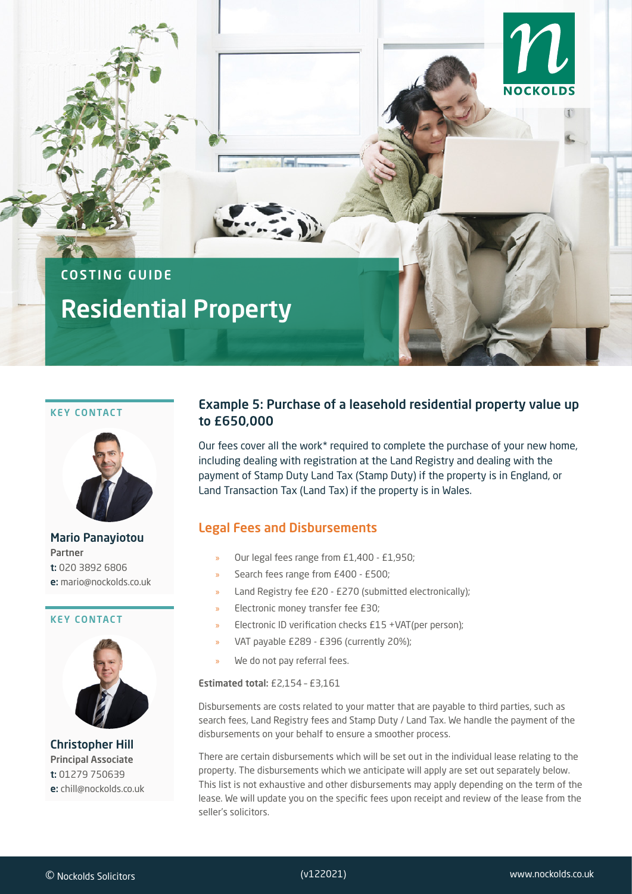

#### KEY CONTACT



Mario Panayiotou Partner t: 020 3892 6806 e: mario@nockolds.co.uk

#### KEY CONTACT



Christopher Hill Principal Associate t: 01279 750639 e: chill@nockolds.co.uk

# Example 5: Purchase of a leasehold residential property value up to £650,000

Our fees cover all the work\* required to complete the purchase of your new home, including dealing with registration at the Land Registry and dealing with the payment of Stamp Duty Land Tax (Stamp Duty) if the property is in England, or Land Transaction Tax (Land Tax) if the property is in Wales.

### Legal Fees and Disbursements

- » Our legal fees range from £1,400 £1,950;
- Search fees range from £400 £500;
- » Land Registry fee £20 £270 (submitted electronically);
- » Electronic money transfer fee £30;
- » Electronic ID verification checks £15 +VAT(per person);
- » VAT payable £289 £396 (currently 20%);
- » We do not pay referral fees.

#### Estimated total: £2,154 – £3,161

Disbursements are costs related to your matter that are payable to third parties, such as search fees, Land Registry fees and Stamp Duty / Land Tax. We handle the payment of the disbursements on your behalf to ensure a smoother process.

There are certain disbursements which will be set out in the individual lease relating to the property. The disbursements which we anticipate will apply are set out separately below. This list is not exhaustive and other disbursements may apply depending on the term of the lease. We will update you on the specific fees upon receipt and review of the lease from the seller's solicitors.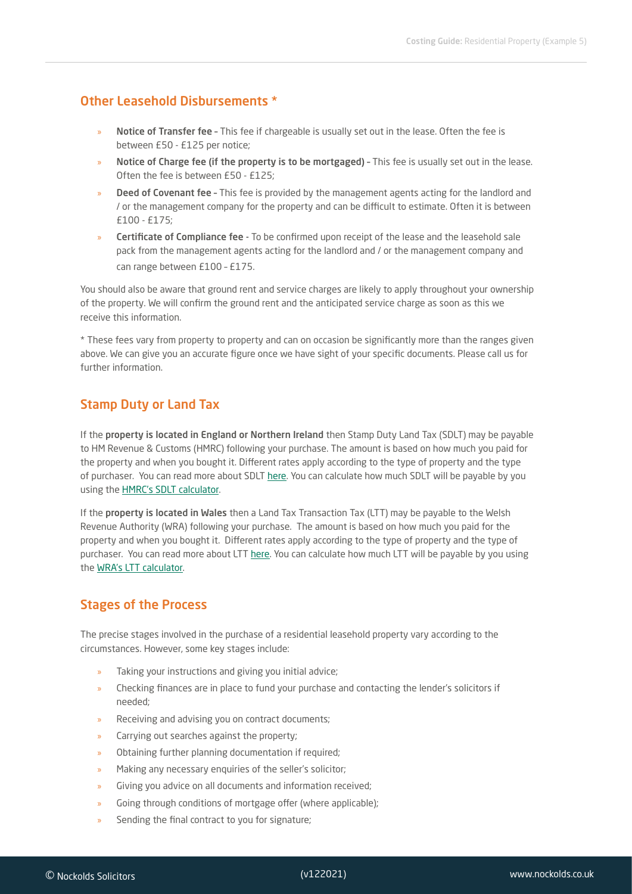## Other Leasehold Disbursements \*

- » Notice of Transfer fee This fee if chargeable is usually set out in the lease. Often the fee is between £50 - £125 per notice;
- » Notice of Charge fee (if the property is to be mortgaged) This fee is usually set out in the lease. Often the fee is between £50 - £125;
- » Deed of Covenant fee This fee is provided by the management agents acting for the landlord and / or the management company for the property and can be difficult to estimate. Often it is between £100 - £175;
- » Certificate of Compliance fee To be confirmed upon receipt of the lease and the leasehold sale pack from the management agents acting for the landlord and / or the management company and can range between £100 – £175.

You should also be aware that ground rent and service charges are likely to apply throughout your ownership of the property. We will confirm the ground rent and the anticipated service charge as soon as this we receive this information.

\* These fees vary from property to property and can on occasion be significantly more than the ranges given above. We can give you an accurate figure once we have sight of your specific documents. Please call us for further information.

# Stamp Duty or Land Tax

If the property is located in England or Northern Ireland then Stamp Duty Land Tax (SDLT) may be payable to HM Revenue & Customs (HMRC) following your purchase. The amount is based on how much you paid for the property and when you bought it. Different rates apply according to the type of property and the type of purchaser. You can read more about SDLT [here.](https://www.gov.uk/stamp-duty-land-tax) You can calculate how much SDLT will be payable by you using the [HMRC's SDLT calculator](https://www.tax.service.gov.uk/calculate-stamp-duty-land-tax/%23/intro).

If the property is located in Wales then a Land Tax Transaction Tax (LTT) may be payable to the Welsh Revenue Authority (WRA) following your purchase. The amount is based on how much you paid for the property and when you bought it. Different rates apply according to the type of property and the type of purchaser. You can read more about LTT [here.](https://gov.wales/land-transaction-tax-guide) You can calculate how much LTT will be payable by you using the [WRA's LTT calculator](https://gov.wales/land-transaction-tax-calculator).

# Stages of the Process

The precise stages involved in the purchase of a residential leasehold property vary according to the circumstances. However, some key stages include:

- Taking your instructions and giving you initial advice;
- » Checking finances are in place to fund your purchase and contacting the lender's solicitors if needed;
- » Receiving and advising you on contract documents;
- » Carrying out searches against the property;
- » Obtaining further planning documentation if required;
- » Making any necessary enquiries of the seller's solicitor;
- Giving you advice on all documents and information received;
- » Going through conditions of mortgage offer (where applicable);
- Sending the final contract to you for signature;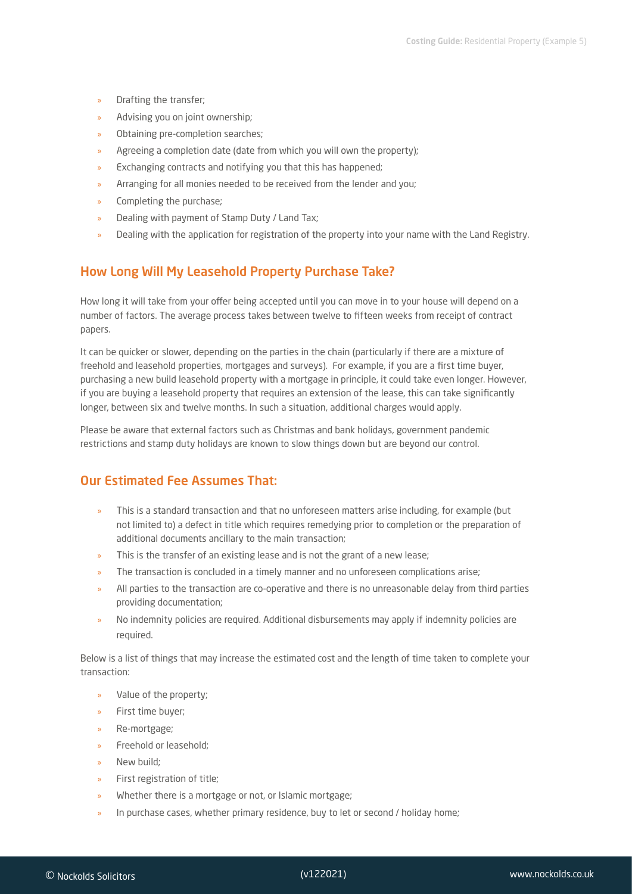- » Drafting the transfer;
- » Advising you on joint ownership;
- » Obtaining pre-completion searches;
- » Agreeing a completion date (date from which you will own the property);
- » Exchanging contracts and notifying you that this has happened;
- » Arranging for all monies needed to be received from the lender and you;
- » Completing the purchase;
- » Dealing with payment of Stamp Duty / Land Tax;
- » Dealing with the application for registration of the property into your name with the Land Registry.

## How Long Will My Leasehold Property Purchase Take?

How long it will take from your offer being accepted until you can move in to your house will depend on a number of factors. The average process takes between twelve to fifteen weeks from receipt of contract papers.

It can be quicker or slower, depending on the parties in the chain (particularly if there are a mixture of freehold and leasehold properties, mortgages and surveys). For example, if you are a first time buyer, purchasing a new build leasehold property with a mortgage in principle, it could take even longer. However, if you are buying a leasehold property that requires an extension of the lease, this can take significantly longer, between six and twelve months. In such a situation, additional charges would apply.

Please be aware that external factors such as Christmas and bank holidays, government pandemic restrictions and stamp duty holidays are known to slow things down but are beyond our control.

### Our Estimated Fee Assumes That:

- » This is a standard transaction and that no unforeseen matters arise including, for example (but not limited to) a defect in title which requires remedying prior to completion or the preparation of additional documents ancillary to the main transaction;
- $\overline{P}$  This is the transfer of an existing lease and is not the grant of a new lease;
- » The transaction is concluded in a timely manner and no unforeseen complications arise;
- » All parties to the transaction are co-operative and there is no unreasonable delay from third parties providing documentation;
- » No indemnity policies are required. Additional disbursements may apply if indemnity policies are required.

Below is a list of things that may increase the estimated cost and the length of time taken to complete your transaction:

- » Value of the property;
- » First time buyer;
- » Re-mortgage;
- » Freehold or leasehold;
- New build:
- » First registration of title;
- » Whether there is a mortgage or not, or Islamic mortgage;
- In purchase cases, whether primary residence, buy to let or second / holiday home;